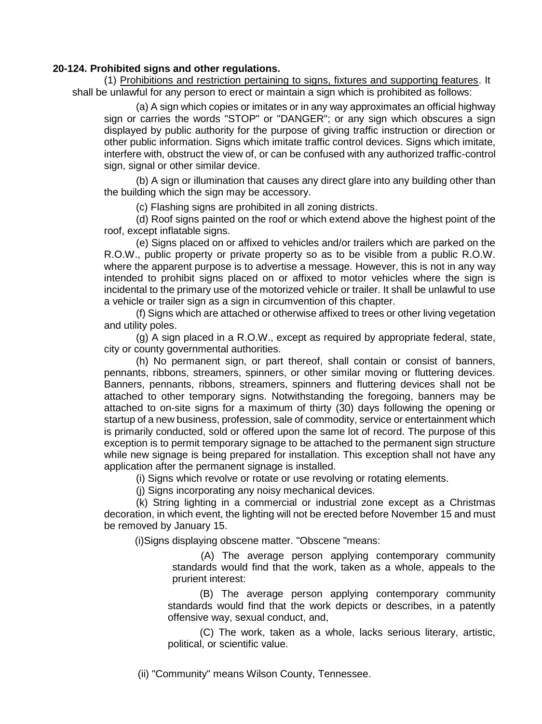## **20-124. Prohibited signs and other regulations.**

(1) Prohibitions and restriction pertaining to signs, fixtures and supporting features. It shall be unlawful for any person to erect or maintain a sign which is prohibited as follows:

(a) A sign which copies or imitates or in any way approximates an official highway sign or carries the words "STOP" or "DANGER"; or any sign which obscures a sign displayed by public authority for the purpose of giving traffic instruction or direction or other public information. Signs which imitate traffic control devices. Signs which imitate, interfere with, obstruct the view of, or can be confused with any authorized traffic-control sign, signal or other similar device.

(b) A sign or illumination that causes any direct glare into any building other than the building which the sign may be accessory.

(c) Flashing signs are prohibited in all zoning districts.

(d) Roof signs painted on the roof or which extend above the highest point of the roof, except inflatable signs.

(e) Signs placed on or affixed to vehicles and/or trailers which are parked on the R.O.W., public property or private property so as to be visible from a public R.O.W. where the apparent purpose is to advertise a message. However, this is not in any way intended to prohibit signs placed on or affixed to motor vehicles where the sign is incidental to the primary use of the motorized vehicle or trailer. It shall be unlawful to use a vehicle or trailer sign as a sign in circumvention of this chapter.

(f) Signs which are attached or otherwise affixed to trees or other living vegetation and utility poles.

(g) A sign placed in a R.O.W., except as required by appropriate federal, state, city or county governmental authorities.

(h) No permanent sign, or part thereof, shall contain or consist of banners, pennants, ribbons, streamers, spinners, or other similar moving or fluttering devices. Banners, pennants, ribbons, streamers, spinners and fluttering devices shall not be attached to other temporary signs. Notwithstanding the foregoing, banners may be attached to on-site signs for a maximum of thirty (30) days following the opening or startup of a new business, profession, sale of commodity, service or entertainment which is primarily conducted, sold or offered upon the same lot of record. The purpose of this exception is to permit temporary signage to be attached to the permanent sign structure while new signage is being prepared for installation. This exception shall not have any application after the permanent signage is installed.

(i) Signs which revolve or rotate or use revolving or rotating elements.

(j) Signs incorporating any noisy mechanical devices.

(k) String lighting in a commercial or industrial zone except as a Christmas decoration, in which event, the lighting will not be erected before November 15 and must be removed by January 15.

(i)Signs displaying obscene matter. "Obscene "means:

 (A) The average person applying contemporary community standards would find that the work, taken as a whole, appeals to the prurient interest:

(B) The average person applying contemporary community standards would find that the work depicts or describes, in a patently offensive way, sexual conduct, and,

(C) The work, taken as a whole, lacks serious literary, artistic, political, or scientific value.

(ii) "Community" means Wilson County, Tennessee.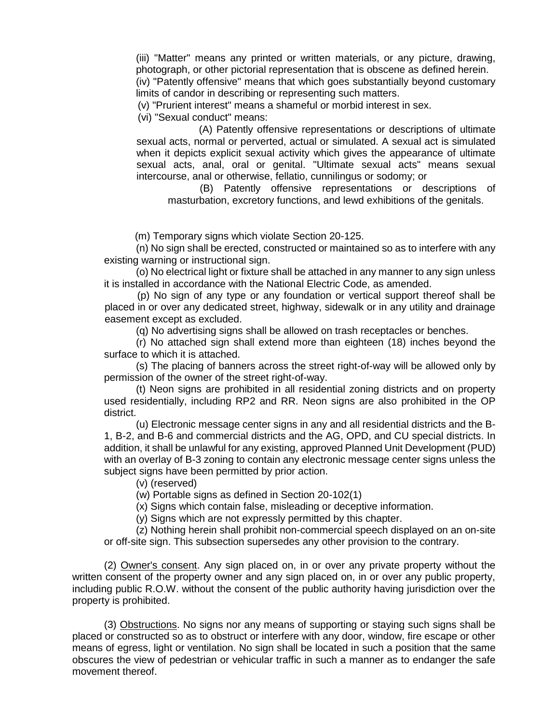(iii) "Matter" means any printed or written materials, or any picture, drawing, photograph, or other pictorial representation that is obscene as defined herein. (iv) "Patently offensive" means that which goes substantially beyond customary limits of candor in describing or representing such matters.

(v) "Prurient interest" means a shameful or morbid interest in sex.

(vi) "Sexual conduct" means:

 (A) Patently offensive representations or descriptions of ultimate sexual acts, normal or perverted, actual or simulated. A sexual act is simulated when it depicts explicit sexual activity which gives the appearance of ultimate sexual acts, anal, oral or genital. "Ultimate sexual acts" means sexual intercourse, anal or otherwise, fellatio, cunnilingus or sodomy; or

(B) Patently offensive representations or descriptions of masturbation, excretory functions, and lewd exhibitions of the genitals.

(m) Temporary signs which violate Section 20-125.

(n) No sign shall be erected, constructed or maintained so as to interfere with any existing warning or instructional sign.

(o) No electrical light or fixture shall be attached in any manner to any sign unless it is installed in accordance with the National Electric Code, as amended.

 (p) No sign of any type or any foundation or vertical support thereof shall be placed in or over any dedicated street, highway, sidewalk or in any utility and drainage easement except as excluded.

(q) No advertising signs shall be allowed on trash receptacles or benches.

(r) No attached sign shall extend more than eighteen (18) inches beyond the surface to which it is attached.

(s) The placing of banners across the street right-of-way will be allowed only by permission of the owner of the street right-of-way.

(t) Neon signs are prohibited in all residential zoning districts and on property used residentially, including RP2 and RR. Neon signs are also prohibited in the OP district.

(u) Electronic message center signs in any and all residential districts and the B-1, B-2, and B-6 and commercial districts and the AG, OPD, and CU special districts. In addition, it shall be unlawful for any existing, approved Planned Unit Development (PUD) with an overlay of B-3 zoning to contain any electronic message center signs unless the subject signs have been permitted by prior action.

(v) (reserved)

(w) Portable signs as defined in Section 20-102(1)

(x) Signs which contain false, misleading or deceptive information.

(y) Signs which are not expressly permitted by this chapter.

(z) Nothing herein shall prohibit non-commercial speech displayed on an on-site or off-site sign. This subsection supersedes any other provision to the contrary.

(2) Owner's consent. Any sign placed on, in or over any private property without the written consent of the property owner and any sign placed on, in or over any public property, including public R.O.W. without the consent of the public authority having jurisdiction over the property is prohibited.

(3) Obstructions. No signs nor any means of supporting or staying such signs shall be placed or constructed so as to obstruct or interfere with any door, window, fire escape or other means of egress, light or ventilation. No sign shall be located in such a position that the same obscures the view of pedestrian or vehicular traffic in such a manner as to endanger the safe movement thereof.